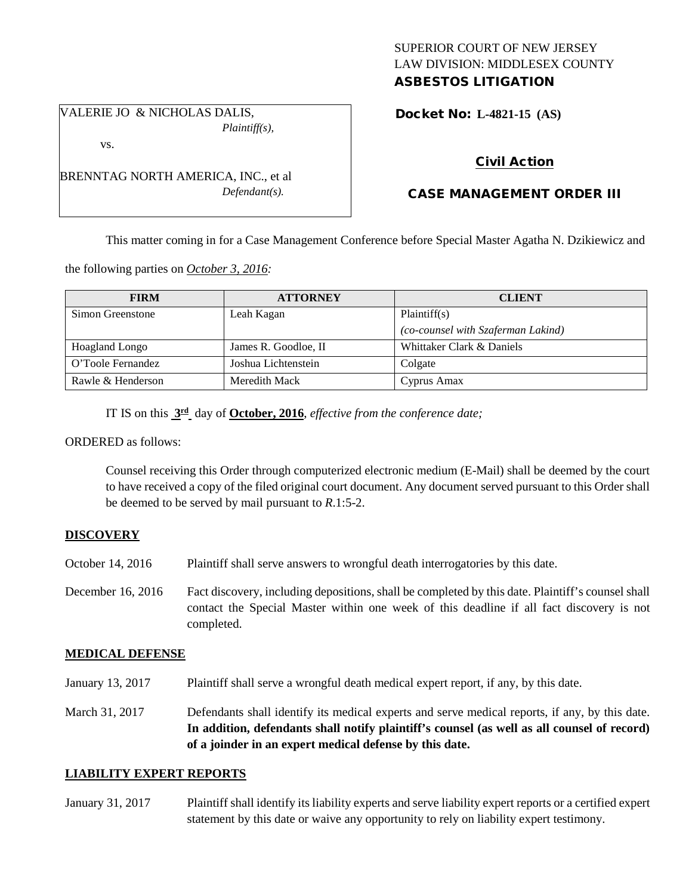## SUPERIOR COURT OF NEW JERSEY LAW DIVISION: MIDDLESEX COUNTY ASBESTOS LITIGATION

VALERIE JO & NICHOLAS DALIS, *Plaintiff(s),*

BRENNTAG NORTH AMERICA, INC., et al

*Defendant(s).*

vs.

Docket No: **L-4821-15 (AS)** 

# Civil Action

# CASE MANAGEMENT ORDER III

This matter coming in for a Case Management Conference before Special Master Agatha N. Dzikiewicz and

the following parties on *October 3, 2016:*

| <b>FIRM</b>       | <b>ATTORNEY</b>      | <b>CLIENT</b>                      |
|-------------------|----------------------|------------------------------------|
| Simon Greenstone  | Leah Kagan           | Plaintiff(s)                       |
|                   |                      | (co-counsel with Szaferman Lakind) |
| Hoagland Longo    | James R. Goodloe, II | Whittaker Clark & Daniels          |
| O'Toole Fernandez | Joshua Lichtenstein  | Colgate                            |
| Rawle & Henderson | Meredith Mack        | Cyprus Amax                        |

IT IS on this **3rd** day of **October, 2016**, *effective from the conference date;*

## ORDERED as follows:

Counsel receiving this Order through computerized electronic medium (E-Mail) shall be deemed by the court to have received a copy of the filed original court document. Any document served pursuant to this Order shall be deemed to be served by mail pursuant to *R*.1:5-2.

## **DISCOVERY**

- October 14, 2016 Plaintiff shall serve answers to wrongful death interrogatories by this date.
- December 16, 2016 Fact discovery, including depositions, shall be completed by this date. Plaintiff's counsel shall contact the Special Master within one week of this deadline if all fact discovery is not completed.

## **MEDICAL DEFENSE**

- January 13, 2017 Plaintiff shall serve a wrongful death medical expert report, if any, by this date.
- March 31, 2017 Defendants shall identify its medical experts and serve medical reports, if any, by this date. **In addition, defendants shall notify plaintiff's counsel (as well as all counsel of record) of a joinder in an expert medical defense by this date.**

## **LIABILITY EXPERT REPORTS**

January 31, 2017 Plaintiff shall identify its liability experts and serve liability expert reports or a certified expert statement by this date or waive any opportunity to rely on liability expert testimony.